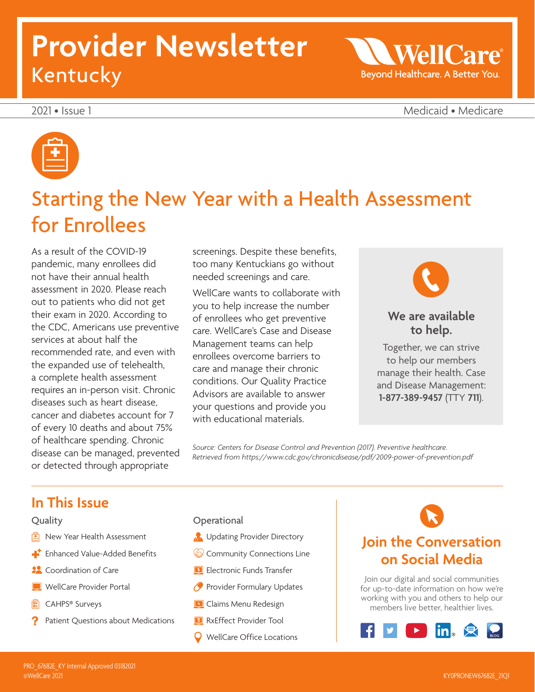# **Provider Newsletter**  Kentucky

2021 • Issue 1 Medicaid • Medicare

**WellCare** 

Beyond Healthcare. A Better You.

 $\overline{\phantom{0}}$ 



# Starting the New Year with a Health Assessment for Enrollees

As a result of the COVID-19 pandemic, many enrollees did not have their annual health assessment in 2020. Please reach out to patients who did not get their exam in 2020. According to the CDC, Americans use preventive services at about half the recommended rate, and even with the expanded use of telehealth, a complete health assessment requires an in-person visit. Chronic diseases such as heart disease, cancer and diabetes account for 7 of every 10 deaths and about 75% of healthcare spending. Chronic disease can be managed, prevented or detected through appropriate

screenings. Despite these benefits, too many Kentuckians go without needed screenings and care.

WellCare wants to collaborate with you to help increase the number of enrollees who get preventive care. WellCare's Case and Disease Management teams can help enrollees overcome barriers to care and manage their chronic conditions. Our Quality Practice Advisors are available to answer your questions and provide you with educational materials.



## **We are available to help.**

Together, we can strive to help our members manage their health. Case and Disease Management: **1-877-389-9457** (TTY **711**).

Source: Centers for Disease Control and Prevention (2017). Preventive healthcare. *Retrieved from <https://www.cdc.gov/chronicdisease/pdf/2009-power-of-prevention.pdf>*

## **In This Issue**

## Quality

- $\boxed{\triangle}$  New Year Health Assessment
- **Enhanced Value-Added Benefits**
- **22** Coordination of Care
- WellCare Provider Portal
- CAHPS® Surveys
- Patient Questions about Medications

### **Operational**

- **B** Updating Provider Directory
- **Community Connections Line**
- **Electronic Funds Transfer**
- **Provider Formulary Updates**
- **N** Claims Menu Redesign
- RxEffect Provider Tool
- WellCare Office Locations

## **Join the Conversation on Social Media**

Join our digital and social communities for up-to-date information on how we're working with you and others to help our members live better, healthier lives.

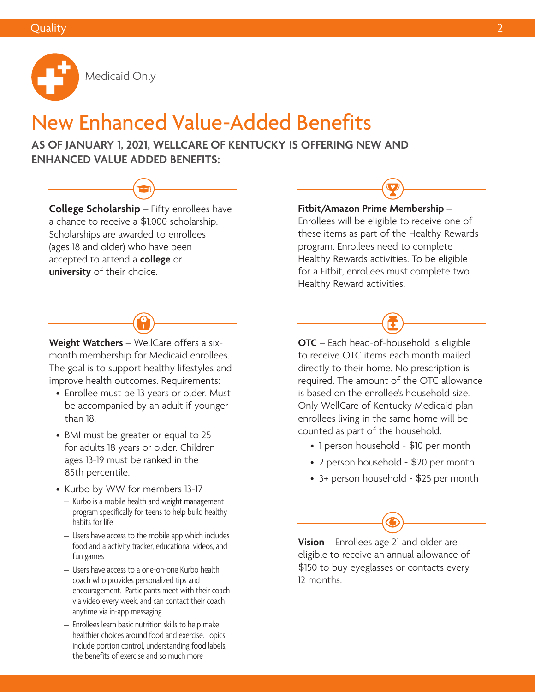

## New Enhanced Value-Added Benefits

**AS OF JANUARY 1, 2021, WELLCARE OF KENTUCKY IS OFFERING NEW AND ENHANCED VALUE ADDED BENEFITS:** 

**College Scholarship** – Fifty enrollees have a chance to receive a \$1,000 scholarship. Scholarships are awarded to enrollees (ages 18 and older) who have been accepted to attend a **college** or **university** of their choice.



- Enrollee must be 13 years or older. Must be accompanied by an adult if younger than 18.
- BMI must be greater or equal to 25 for adults 18 years or older. Children ages 13-19 must be ranked in the 85th percentile.
- Kurbo by WW for members 13-17
- $-$  Kurbo is a mobile health and weight management program specifically for teens to help build healthy habits for life
- $-$  Users have access to the mobile app which includes food and a activity tracker, educational videos, and fun games
- Users have access to a one-on-one Kurbo health coach who provides personalized tips and encouragement. Participants meet with their coach via video every week, and can contact their coach anytime via in-app messaging
- Enrollees learn basic nutrition skills to help make healthier choices around food and exercise. Topics include portion control, understanding food labels, the benefits of exercise and so much more

## **Fitbit/Amazon Prime Membership** –

Enrollees will be eligible to receive one of these items as part of the Healthy Rewards program. Enrollees need to complete Healthy Rewards activities. To be eligible for a Fitbit, enrollees must complete two Healthy Reward activities.



**OTC** – Each head-of-household is eligible to receive OTC items each month mailed directly to their home. No prescription is required. The amount of the OTC allowance is based on the enrollee's household size. Only WellCare of Kentucky Medicaid plan enrollees living in the same home will be counted as part of the household.

- 1 person household \$10 per month
- 2 person household \$20 per month
- 3+ person household \$25 per month

**Vision** – Enrollees age 21 and older are eligible to receive an annual allowance of \$150 to buy eyeglasses or contacts every 12 months.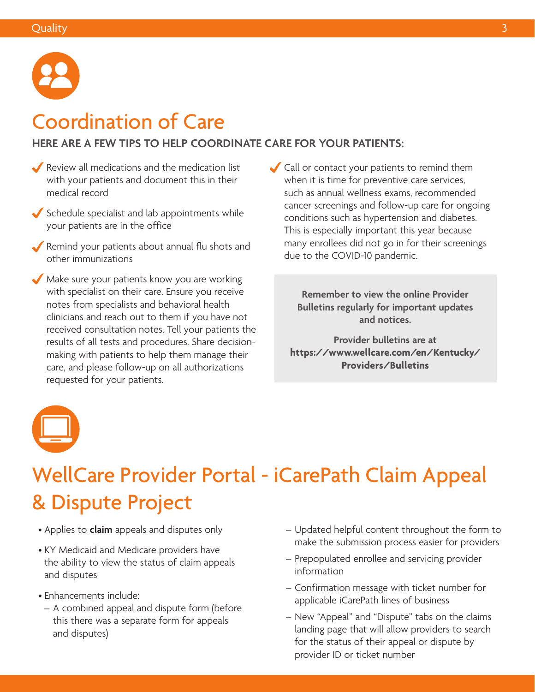

## Coordination of Care

## **HERE ARE A FEW TIPS TO HELP COORDINATE CARE FOR YOUR PATIENTS:**

- Review all medications and the medication list with your patients and document this in their medical record
- $\blacktriangleright$  Schedule specialist and lab appointments while your patients are in the office
- Remind your patients about annual flu shots and other immunizations
- Make sure your patients know you are working with specialist on their care. Ensure you receive notes from specialists and behavioral health clinicians and reach out to them if you have not received consultation notes. Tell your patients the results of all tests and procedures. Share decisionmaking with patients to help them manage their care, and please follow-up on all authorizations requested for your patients.
- Call or contact your patients to remind them when it is time for preventive care services, such as annual wellness exams, recommended cancer screenings and follow-up care for ongoing conditions such as hypertension and diabetes. This is especially important this year because many enrollees did not go in for their screenings due to the COVID-10 pandemic.

**Remember to view the online Provider Bulletins regularly for important updates and notices.** 

**Provider bulletins are at [https://www.wellcare.com/en/Kentucky/](https://www.wellcare.com/en/Kentucky/Providers/Bulletins)  Providers/Bulletins** 



# WellCare Provider Portal - iCarePath Claim Appeal & Dispute Project

- Applies to **claim** appeals and disputes only
- KY Medicaid and Medicare providers have the ability to view the status of claim appeals and disputes
- Enhancements include:
	- A combined appeal and dispute form (before this there was a separate form for appeals and disputes)
- Updated helpful content throughout the form to make the submission process easier for providers
- Prepopulated enrollee and servicing provider information
- Confirmation message with ticket number for applicable iCarePath lines of business
- New "Appeal" and "Dispute" tabs on the claims landing page that will allow providers to search for the status of their appeal or dispute by provider ID or ticket number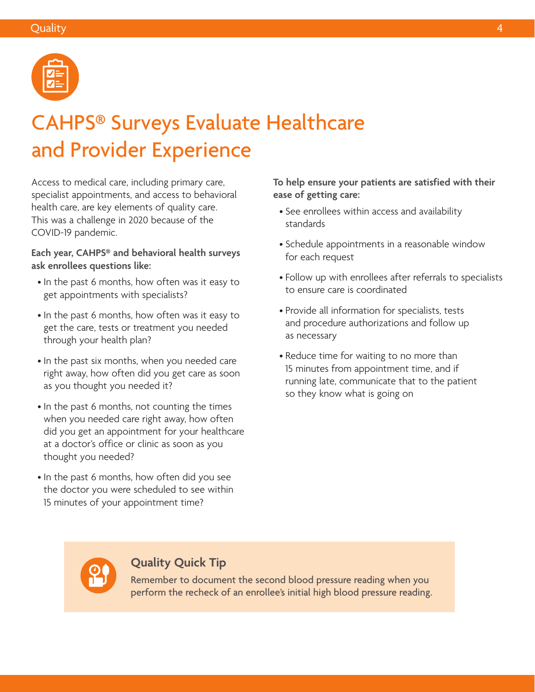

# CAHPS® Surveys Evaluate Healthcare and Provider Experience

Access to medical care, including primary care, specialist appointments, and access to behavioral health care, are key elements of quality care. This was a challenge in 2020 because of the COVID-19 pandemic.

**Each year, CAHPS® and behavioral health surveys ask enrollees questions like:** 

- In the past 6 months, how often was it easy to get appointments with specialists?
- In the past 6 months, how often was it easy to get the care, tests or treatment you needed through your health plan?
- In the past six months, when you needed care right away, how often did you get care as soon as you thought you needed it?
- In the past 6 months, not counting the times when you needed care right away, how often did you get an appointment for your healthcare at a doctor's office or clinic as soon as you thought you needed?
- In the past 6 months, how often did you see the doctor you were scheduled to see within 15 minutes of your appointment time?

**To help ensure your patients are satisfied with their ease of getting care:** 

- See enrollees within access and availability standards
- Schedule appointments in a reasonable window for each request
- Follow up with enrollees after referrals to specialists to ensure care is coordinated
- Provide all information for specialists, tests and procedure authorizations and follow up as necessary
- Reduce time for waiting to no more than 15 minutes from appointment time, and if running late, communicate that to the patient so they know what is going on



## **Quality Quick Tip**

Remember to document the second blood pressure reading when you perform the recheck of an enrollee's initial high blood pressure reading.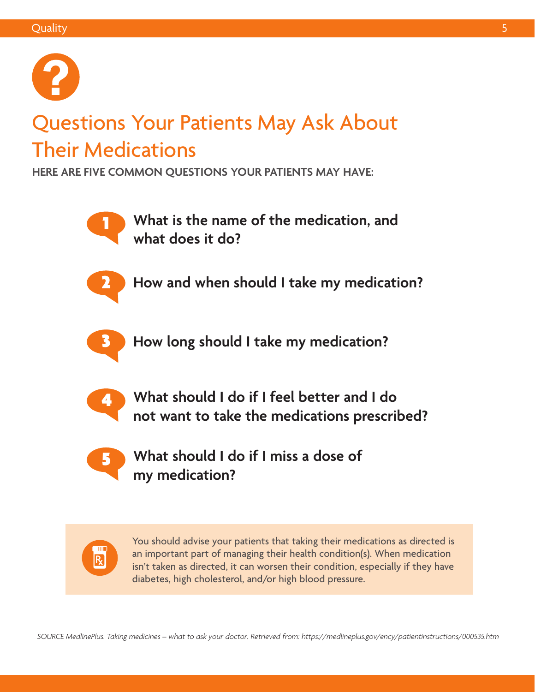

# Questions Your Patients May Ask About Their Medications

**HERE ARE FIVE COMMON QUESTIONS YOUR PATIENTS MAY HAVE:** 



1 **What is the name of the medication, and what does it do?** 



2 **How and when should I take my medication?** 



3 **How long should I take my medication?** 



4 **What should I do if I feel better and I do not want to take the medications prescribed?** 



5 **What should I do if I miss a dose of my medication?** 



You should advise your patients that taking their medications as directed is an important part of managing their health condition(s). When medication isn't taken as directed, it can worsen their condition, especially if they have diabetes, high cholesterol, and/or high blood pressure.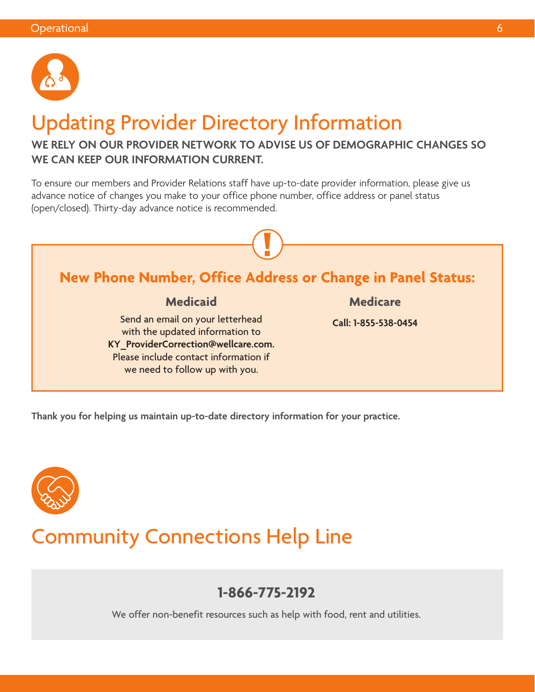

# Updating Provider Directory Information

## **WE RELY ON OUR PROVIDER NETWORK TO ADVISE US OF DEMOGRAPHIC CHANGES SO WE CAN KEEP OUR INFORMATION CURRENT.**

To ensure our members and Provider Relations staff have up-to-date provider information, please give us advance notice of changes you make to your office phone number, office address or panel status (open/closed). Thirty-day advance notice is recommended.



**Thank you for helping us maintain up-to-date directory information for your practice.**



## Community Connections Help Line

## **1-866-775-2192**

We offer non-benefit resources such as help with food, rent and utilities.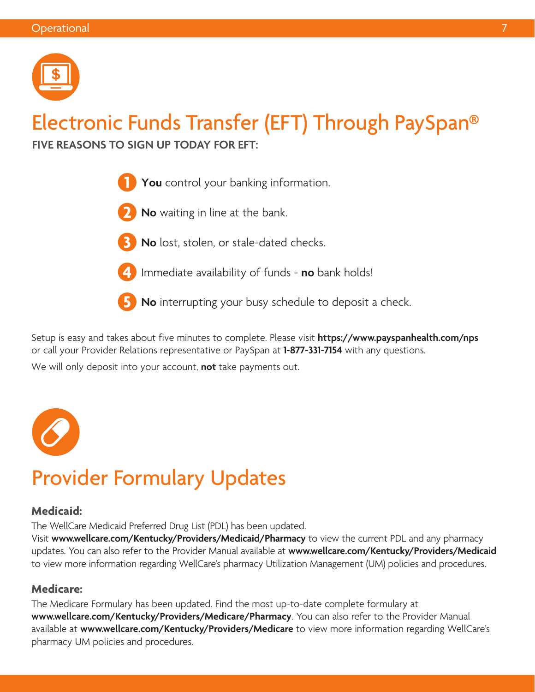

# Electronic Funds Transfer (EFT) Through PaySpan®

**FIVE REASONS TO SIGN UP TODAY FOR EFT:** 



- **2 No** waiting in line at the bank.
- - **3 No** lost, stolen, or stale-dated checks.



**4** Immediate availability of funds - **no** bank holds!

**5 No** interrupting your busy schedule to deposit a check.

Setup is easy and takes about five minutes to complete. Please visit **<https://www.payspanhealth.com/nps>**  or call your Provider Relations representative or PaySpan at **1-877-331-7154** with any questions.

We will only deposit into your account, **not** take payments out.



# Provider Formulary Updates

## **Medicaid:**

The WellCare Medicaid Preferred Drug List (PDL) has been updated.

Visit **[www.wellcare.com/Kentucky/Providers/Medicaid/Pharmacy](http://www.wellcare.com/Kentucky/Providers/Medicaid/Pharmacy)** to view the current PDL and any pharmacy updates. You can also refer to the Provider Manual available at **[www.wellcare.com/Kentucky/Providers/Medicaid](http://www.wellcare.com/Kentucky/Providers/Medicaid)** to view more information regarding WellCare's pharmacy Utilization Management (UM) policies and procedures.

## **Medicare:**

The Medicare Formulary has been updated. Find the most up-to-date complete formulary at **[www.wellcare.com/Kentucky/Providers/Medicare/Pharmacy](http://www.wellcare.com/Kentucky/Providers/Medicare/Pharmacy)**. You can also refer to the Provider Manual available at **[www.wellcare.com/Kentucky/Providers/Medicare](http://www.wellcare.com/Kentucky/Providers/Medicare)** to view more information regarding WellCare's pharmacy UM policies and procedures.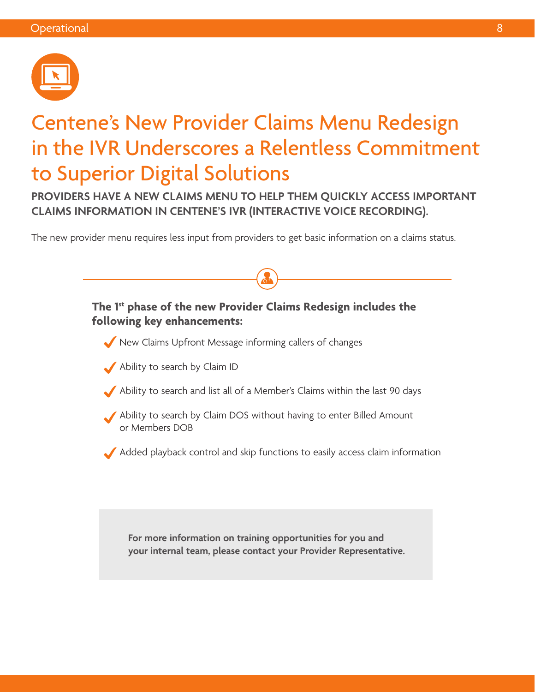

# Centene's New Provider Claims Menu Redesign in the IVR Underscores a Relentless Commitment to Superior Digital Solutions

**PROVIDERS HAVE A NEW CLAIMS MENU TO HELP THEM QUICKLY ACCESS IMPORTANT CLAIMS INFORMATION IN CENTENE'S IVR (INTERACTIVE VOICE RECORDING).** 

The new provider menu requires less input from providers to get basic information on a claims status.

**The 1st phase of the new Provider Claims Redesign includes the following key enhancements:** New Claims Upfront Message informing callers of changes Ability to search by Claim ID Ability to search and list all of a Member's Claims within the last 90 days Ability to search by Claim DOS without having to enter Billed Amount or Members DOB Added playback control and skip functions to easily access claim information **For more information on training opportunities for you and your internal team, please contact your Provider Representative.**